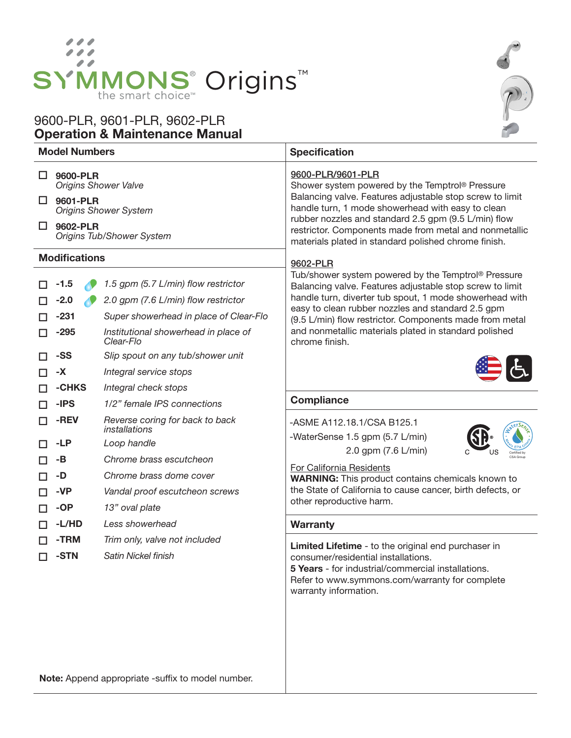

# Operation & Maintenance Manual 9600-PLR, 9601-PLR, 9602-PLR



Note: Append appropriate -suffix to model number.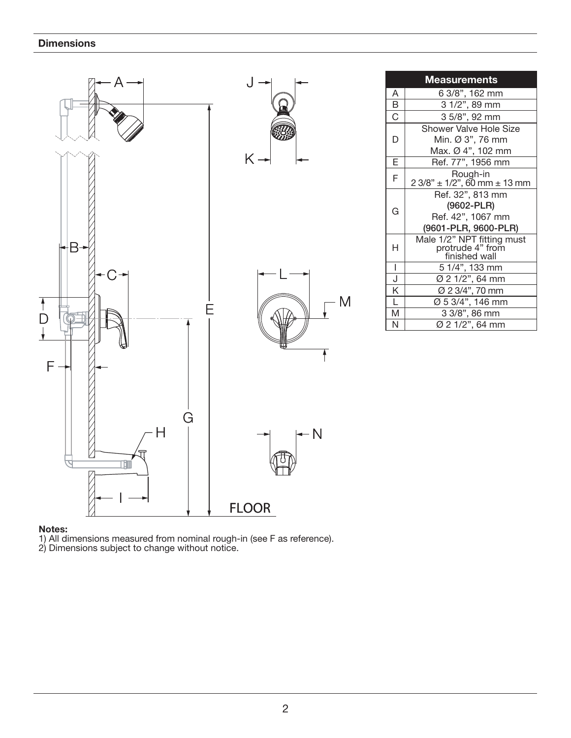

#### Notes:

1) All dimensions measured from nominal rough-in (see F as reference).

2) Dimensions subject to change without notice.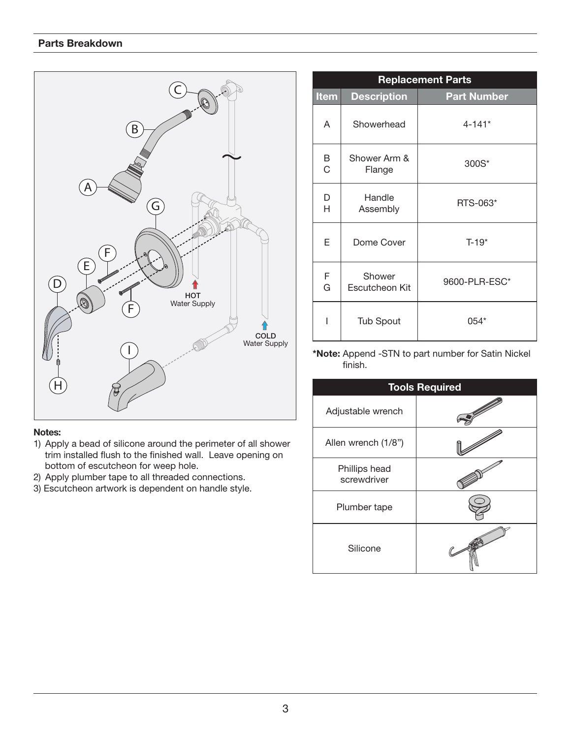

#### Notes:

- 1) Apply a bead of silicone around the perimeter of all shower trim installed flush to the finished wall. Leave opening on bottom of escutcheon for weep hole.
- 2) Apply plumber tape to all threaded connections.
- 3) Escutcheon artwork is dependent on handle style.

| <b>Replacement Parts</b> |                          |                    |  |
|--------------------------|--------------------------|--------------------|--|
| <b>Item</b>              | <b>Description</b>       | <b>Part Number</b> |  |
| A                        | Showerhead               | $4 - 141*$         |  |
| B<br>$\overline{C}$      | Shower Arm &<br>Flange   | 300S*              |  |
| D<br>H                   | Handle<br>Assembly       | RTS-063*           |  |
| E                        | Dome Cover               | $T-19*$            |  |
| F<br>G                   | Shower<br>Escutcheon Kit | 9600-PLR-ESC*      |  |
| I                        | <b>Tub Spout</b>         | $054*$             |  |

\*Note: Append -STN to part number for Satin Nickel finish.

| <b>Tools Required</b>        |  |  |
|------------------------------|--|--|
| Adjustable wrench            |  |  |
| Allen wrench (1/8")          |  |  |
| Phillips head<br>screwdriver |  |  |
| Plumber tape                 |  |  |
| Silicone                     |  |  |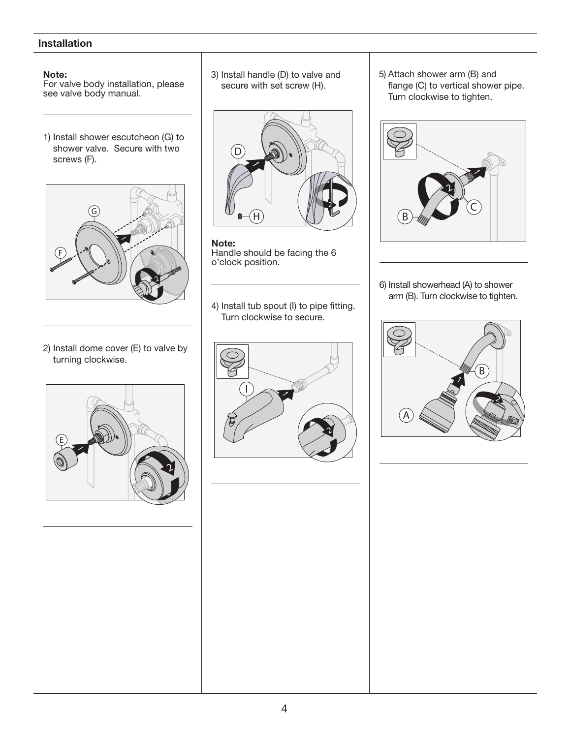## **Installation**

#### Note:

For valve body installation, please see valve body manual.

1) Install shower escutcheon (G) to shower valve. Secure with two screws (F).



2) Install dome cover (E) to valve by turning clockwise.



3) Install handle (D) to valve and secure with set screw (H).



Note: Handle should be facing the 6 o'clock position.

4) Install tub spout (I) to pipe fitting. Turn clockwise to secure.



5) Attach shower arm (B) and flange (C) to vertical shower pipe. Turn clockwise to tighten.



6) Install showerhead (A) to shower arm (B). Turn clockwise to tighten.

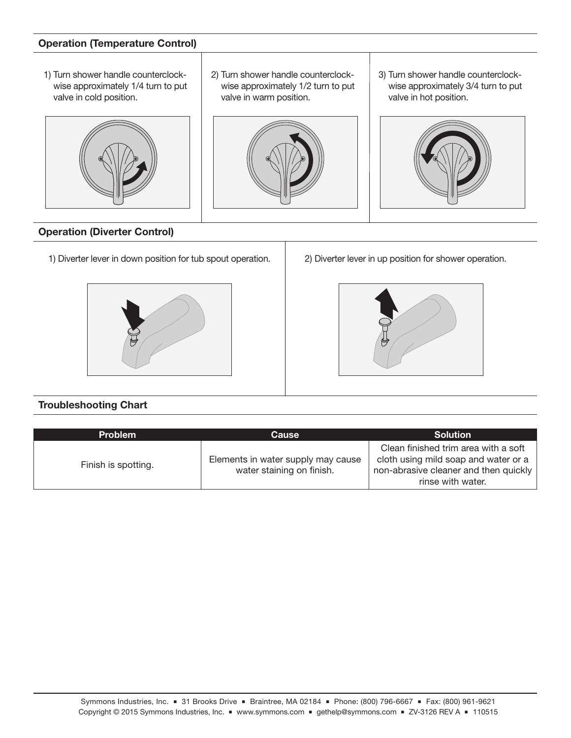## Operation (Temperature Control)

1) Turn shower handle counterclockwise approximately 1/4 turn to put valve in cold position.



#### 2) Turn shower handle counterclockwise approximately 1/2 turn to put valve in warm position.



3) Turn shower handle counterclockwise approximately 3/4 turn to put valve in hot position.



## Operation (Diverter Control)

1) Diverter lever in down position for tub spout operation. 2) Diverter lever in up position for shower operation.





## Troubleshooting Chart

| <b>Problem</b>      | Cause                                                           | <b>Solution</b>                                                                                                                            |
|---------------------|-----------------------------------------------------------------|--------------------------------------------------------------------------------------------------------------------------------------------|
| Finish is spotting. | Elements in water supply may cause<br>water staining on finish. | Clean finished trim area with a soft<br>cloth using mild soap and water or a<br>non-abrasive cleaner and then quickly<br>rinse with water. |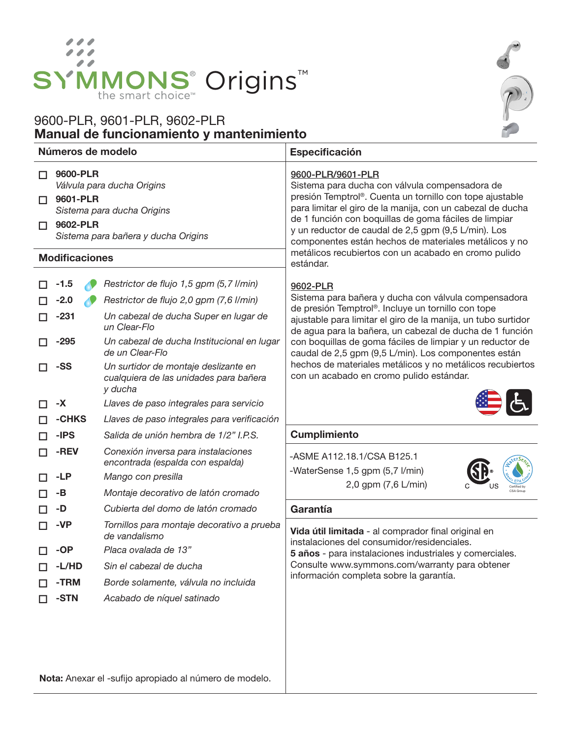

# Manual de funcionamiento y mantenimiento 9600-PLR, 9601-PLR, 9602-PLR



| Números de modelo                                                                                                                                                           |                                      |                                                                                                                                                                                           | Especificación                                                                                                                                                                                                                                                                                                                                                                                                                 |  |
|-----------------------------------------------------------------------------------------------------------------------------------------------------------------------------|--------------------------------------|-------------------------------------------------------------------------------------------------------------------------------------------------------------------------------------------|--------------------------------------------------------------------------------------------------------------------------------------------------------------------------------------------------------------------------------------------------------------------------------------------------------------------------------------------------------------------------------------------------------------------------------|--|
| 9600-PLR<br>П<br>Válvula para ducha Origins<br>9601-PLR<br>П<br>Sistema para ducha Origins<br>9602-PLR<br>П<br>Sistema para bañera y ducha Origins<br><b>Modificaciones</b> |                                      |                                                                                                                                                                                           | 9600-PLR/9601-PLR<br>Sistema para ducha con válvula compensadora de<br>presión Temptrol®. Cuenta un tornillo con tope ajustable<br>para limitar el giro de la manija, con un cabezal de ducha<br>de 1 función con boquillas de goma fáciles de limpiar<br>y un reductor de caudal de 2,5 gpm (9,5 L/min). Los<br>componentes están hechos de materiales metálicos y no<br>metálicos recubiertos con un acabado en cromo pulido |  |
|                                                                                                                                                                             |                                      |                                                                                                                                                                                           | estándar.                                                                                                                                                                                                                                                                                                                                                                                                                      |  |
| П                                                                                                                                                                           | $-1.5$<br>$-2.0$<br>$-231$<br>$-295$ | Restrictor de flujo 1,5 gpm (5,7 l/min)<br>Restrictor de flujo 2,0 gpm (7,6 l/min)<br>Un cabezal de ducha Super en lugar de<br>un Clear-Flo<br>Un cabezal de ducha Institucional en lugar | 9602-PLR<br>Sistema para bañera y ducha con válvula compensadora<br>de presión Temptrol®. Incluye un tornillo con tope<br>ajustable para limitar el giro de la manija, un tubo surtidor<br>de agua para la bañera, un cabezal de ducha de 1 función<br>con boquillas de goma fáciles de limpiar y un reductor de                                                                                                               |  |
| п                                                                                                                                                                           | -SS                                  | de un Clear-Flo<br>Un surtidor de montaje deslizante en<br>cualquiera de las unidades para bañera<br>y ducha                                                                              | caudal de 2,5 gpm (9,5 L/min). Los componentes están<br>hechos de materiales metálicos y no metálicos recubiertos<br>con un acabado en cromo pulido estándar.                                                                                                                                                                                                                                                                  |  |
| п                                                                                                                                                                           | -X                                   | Llaves de paso integrales para servicio                                                                                                                                                   |                                                                                                                                                                                                                                                                                                                                                                                                                                |  |
| П                                                                                                                                                                           | -CHKS                                | Llaves de paso integrales para verificación                                                                                                                                               |                                                                                                                                                                                                                                                                                                                                                                                                                                |  |
| П<br>П                                                                                                                                                                      | -IPS<br>-REV                         | Salida de unión hembra de 1/2" I.P.S.<br>Conexión inversa para instalaciones<br>encontrada (espalda con espalda)                                                                          | <b>Cumplimiento</b><br>-ASME A112.18.1/CSA B125.1                                                                                                                                                                                                                                                                                                                                                                              |  |
| П                                                                                                                                                                           | -LP                                  | Mango con presilla                                                                                                                                                                        | -WaterSense 1,5 gpm (5,7 l/min)                                                                                                                                                                                                                                                                                                                                                                                                |  |
| П                                                                                                                                                                           | -В                                   | Montaje decorativo de latón cromado                                                                                                                                                       | 2,0 gpm (7,6 L/min)                                                                                                                                                                                                                                                                                                                                                                                                            |  |
| П                                                                                                                                                                           | -D                                   | Cubierta del domo de latón cromado                                                                                                                                                        | Garantía                                                                                                                                                                                                                                                                                                                                                                                                                       |  |
| ΙI                                                                                                                                                                          | -VP                                  | Tornillos para montaje decorativo a prueba<br>de vandalismo                                                                                                                               | Vida útil limitada - al comprador final original en<br>instalaciones del consumidor/residenciales.                                                                                                                                                                                                                                                                                                                             |  |
| п.                                                                                                                                                                          | -OP                                  | Placa ovalada de 13"                                                                                                                                                                      | 5 años - para instalaciones industriales y comerciales.                                                                                                                                                                                                                                                                                                                                                                        |  |
|                                                                                                                                                                             | -L/HD                                | Sin el cabezal de ducha                                                                                                                                                                   | Consulte www.symmons.com/warranty para obtener<br>información completa sobre la garantía.                                                                                                                                                                                                                                                                                                                                      |  |
|                                                                                                                                                                             | -TRM                                 | Borde solamente, válvula no incluida                                                                                                                                                      |                                                                                                                                                                                                                                                                                                                                                                                                                                |  |
|                                                                                                                                                                             | -STN                                 | Acabado de níquel satinado                                                                                                                                                                |                                                                                                                                                                                                                                                                                                                                                                                                                                |  |
|                                                                                                                                                                             |                                      |                                                                                                                                                                                           |                                                                                                                                                                                                                                                                                                                                                                                                                                |  |

Nota: Anexar el -sufijo apropiado al número de modelo.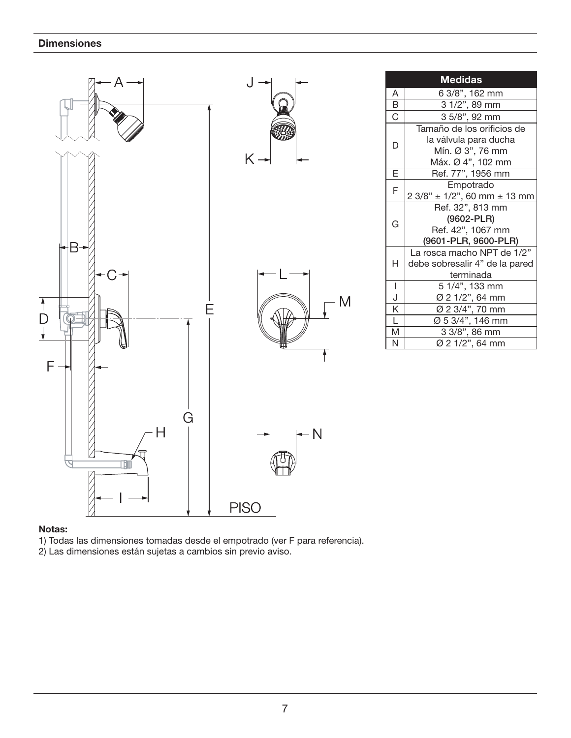

#### Notas:

1) Todas las dimensiones tomadas desde el empotrado (ver F para referencia).

2) Las dimensiones están sujetas a cambios sin previo aviso.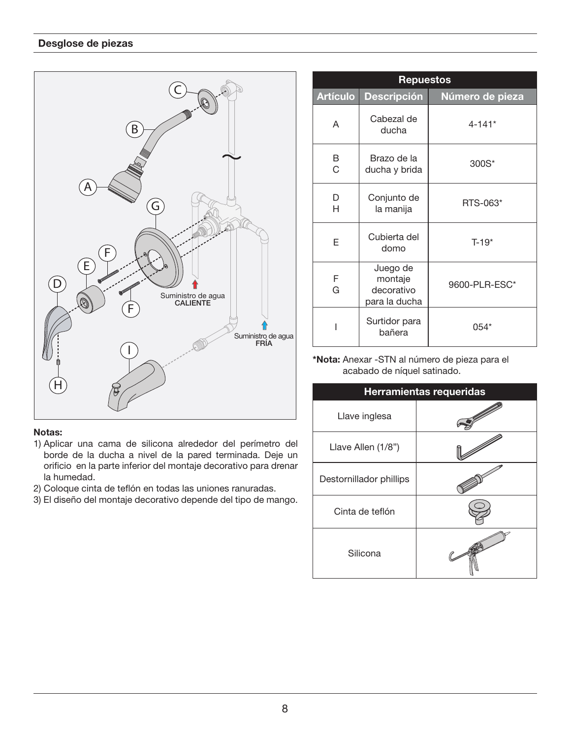## Desglose de piezas



#### Notas:

- 1) Aplicar una cama de silicona alrededor del perímetro del borde de la ducha a nivel de la pared terminada. Deje un orificio en la parte inferior del montaje decorativo para drenar la humedad.
- 2) Coloque cinta de teflón en todas las uniones ranuradas.
- 3) El diseño del montaje decorativo depende del tipo de mango.

| <b>Repuestos</b> |                                                    |                 |  |
|------------------|----------------------------------------------------|-----------------|--|
| <b>Artículo</b>  | <b>Descripción</b>                                 | Número de pieza |  |
| A                | Cabezal de<br>ducha                                | $4 - 141*$      |  |
| B<br>C           | Brazo de la<br>ducha y brida                       | 300S*           |  |
| D<br>н           | Conjunto de<br>la manija                           | RTS-063*        |  |
| F                | Cubierta del<br>domo                               | $T-19*$         |  |
| F<br>G           | Juego de<br>montaje<br>decorativo<br>para la ducha | 9600-PLR-ESC*   |  |
|                  | Surtidor para<br>bañera                            | $0.54*$         |  |

\*Nota: Anexar -STN al número de pieza para el acabado de níquel satinado.

| <b>Herramientas requeridas</b> |  |  |
|--------------------------------|--|--|
| Llave inglesa                  |  |  |
| Llave Allen (1/8")             |  |  |
| Destornillador phillips        |  |  |
| Cinta de teflón                |  |  |
| Silicona                       |  |  |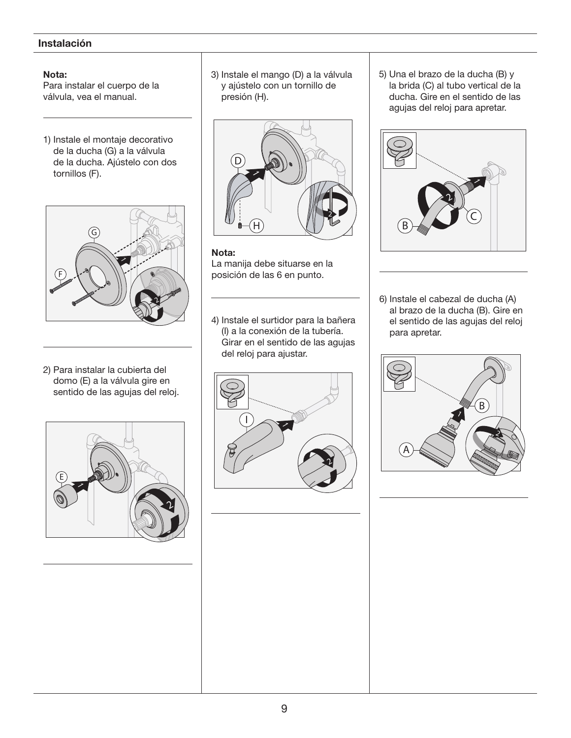## Instalación

#### Nota:

Para instalar el cuerpo de la válvula, vea el manual.

1) Instale el montaje decorativo de la ducha (G) a la válvula de la ducha. Ajústelo con dos tornillos (F).



2) Para instalar la cubierta del domo (E) a la válvula gire en sentido de las agujas del reloj.



3) Instale el mango (D) a la válvula y ajústelo con un tornillo de presión (H).



#### Nota:

La manija debe situarse en la posición de las 6 en punto.

4) Instale el surtidor para la bañera (I) a la conexión de la tubería. Girar en el sentido de las agujas del reloj para ajustar.



5) Una el brazo de la ducha (B) y la brida (C) al tubo vertical de la ducha. Gire en el sentido de las agujas del reloj para apretar.



6) Instale el cabezal de ducha (A) al brazo de la ducha (B). Gire en el sentido de las agujas del reloj para apretar.

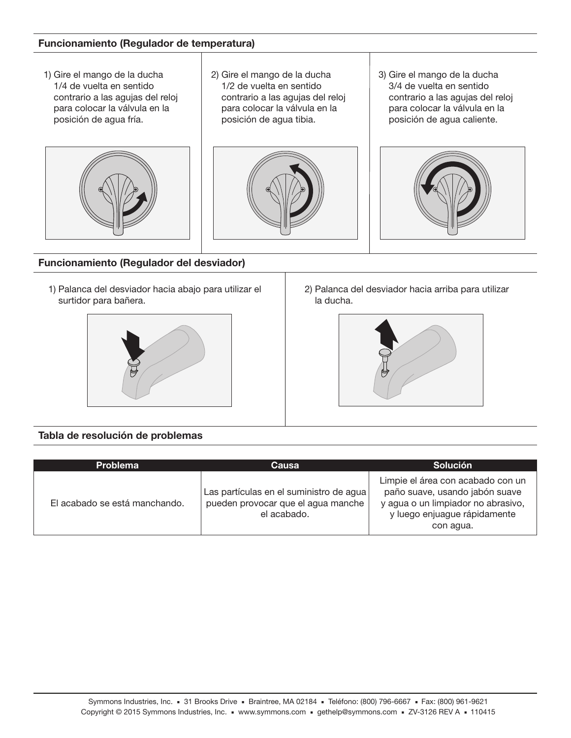#### Funcionamiento (Regulador de temperatura)

1) Gire el mango de la ducha 1/4 de vuelta en sentido contrario a las agujas del reloj para colocar la válvula en la posición de agua fría.



2) Gire el mango de la ducha 1/2 de vuelta en sentido contrario a las agujas del reloj para colocar la válvula en la posición de agua tibia.



3) Gire el mango de la ducha 3/4 de vuelta en sentido contrario a las agujas del reloj para colocar la válvula en la posición de agua caliente.



Funcionamiento (Regulador del desviador)

1) Palanca del desviador hacia abajo para utilizar el surtidor para bañera.



2) Palanca del desviador hacia arriba para utilizar la ducha.



## Tabla de resolución de problemas

| <b>Problema</b>               | Causa                                                                                        | <b>Solución</b>                                                                                                                                        |
|-------------------------------|----------------------------------------------------------------------------------------------|--------------------------------------------------------------------------------------------------------------------------------------------------------|
| El acabado se está manchando. | Las partículas en el suministro de agua<br>pueden provocar que el agua manche<br>el acabado. | Limpie el área con acabado con un<br>paño suave, usando jabón suave<br>y agua o un limpiador no abrasivo,<br>y luego enjuague rápidamente<br>con agua. |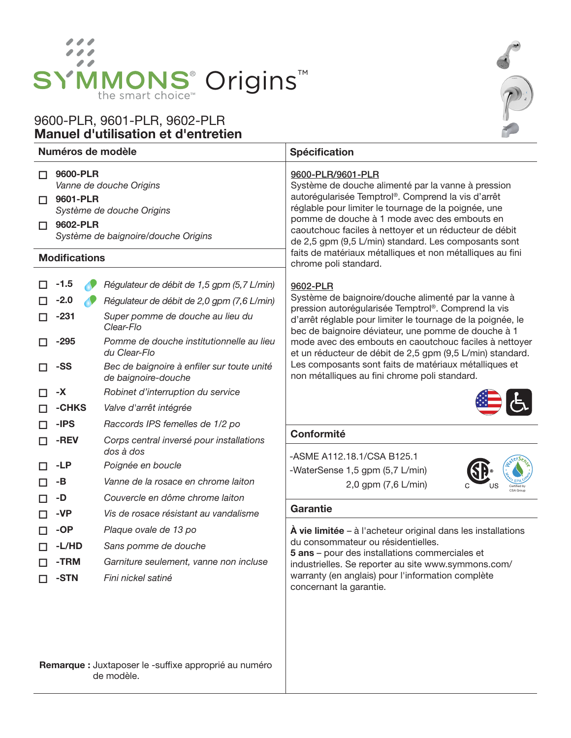

# Manuel d'utilisation et d'entretien 9600-PLR, 9601-PLR, 9602-PLR

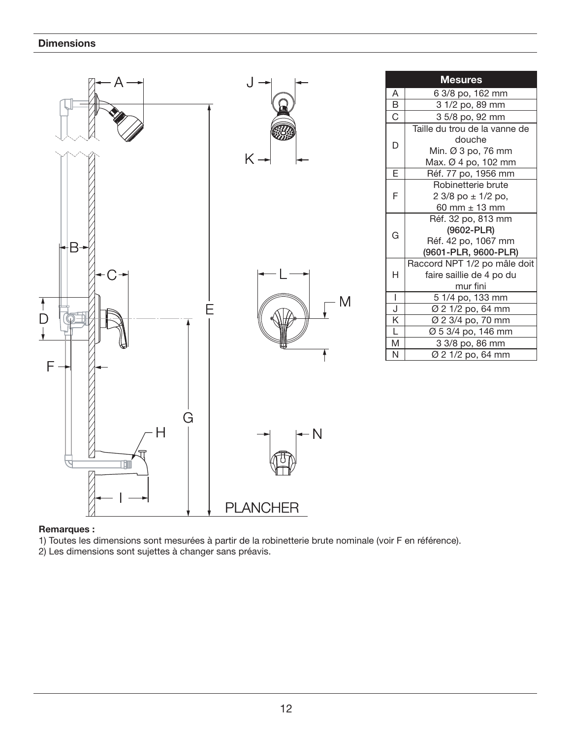

#### Remarques :

1) Toutes les dimensions sont mesurées à partir de la robinetterie brute nominale (voir F en référence).

2) Les dimensions sont sujettes à changer sans préavis.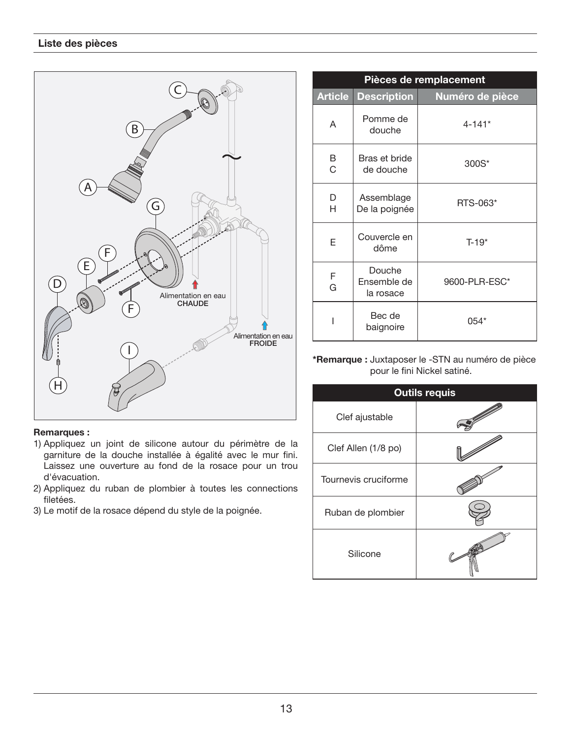

#### Remarques :

- 1) Appliquez un joint de silicone autour du périmètre de la garniture de la douche installée à égalité avec le mur fini. Laissez une ouverture au fond de la rosace pour un trou d'évacuation.
- 2) Appliquez du ruban de plombier à toutes les connections filetées.
- 3) Le motif de la rosace dépend du style de la poignée.

| Pièces de remplacement |                                    |                 |
|------------------------|------------------------------------|-----------------|
| <b>Article</b>         | <b>Description</b>                 | Numéro de pièce |
| A                      | Pomme de<br>douche                 | $4 - 141*$      |
| B<br>C                 | Bras et bride<br>de douche         | 300S*           |
| D<br>н                 | Assemblage<br>De la poignée        | RTS-063*        |
| E                      | Couvercle en<br>dôme               | $T-19*$         |
| F<br>G                 | Douche<br>Ensemble de<br>la rosace | 9600-PLR-ESC*   |
|                        | Bec de<br>baignoire                | 054*            |

#### \*Remarque : Juxtaposer le -STN au numéro de pièce pour le fini Nickel satiné.

| <b>Outils requis</b> |  |  |
|----------------------|--|--|
| Clef ajustable       |  |  |
| Clef Allen (1/8 po)  |  |  |
| Tournevis cruciforme |  |  |
| Ruban de plombier    |  |  |
| Silicone             |  |  |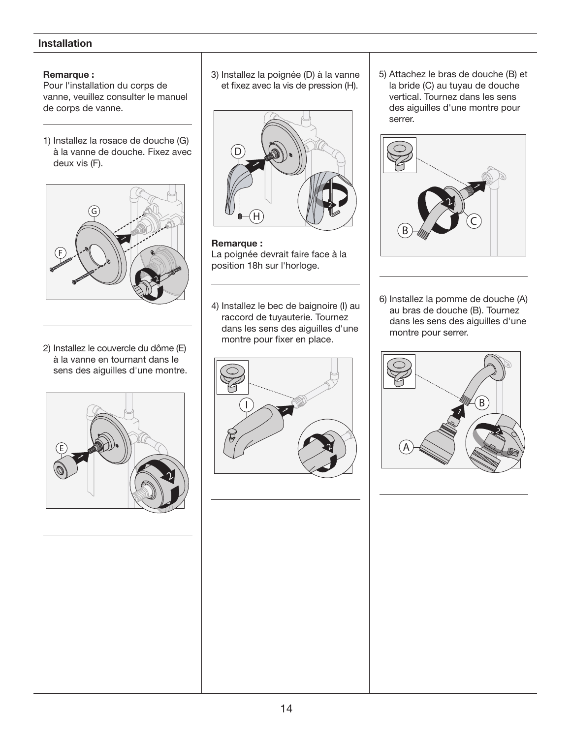## Installation

#### Remarque :

Pour l'installation du corps de vanne, veuillez consulter le manuel de corps de vanne.

1) Installez la rosace de douche (G) à la vanne de douche. Fixez avec deux vis (F).



2) Installez le couvercle du dôme (E) à la vanne en tournant dans le sens des aiguilles d'une montre.



3) Installez la poignée (D) à la vanne et fixez avec la vis de pression (H).



Remarque : La poignée devrait faire face à la position 18h sur l'horloge.

4) Installez le bec de baignoire (I) au raccord de tuyauterie. Tournez dans les sens des aiguilles d'une montre pour fixer en place.



5) Attachez le bras de douche (B) et la bride (C) au tuyau de douche vertical. Tournez dans les sens des aiguilles d'une montre pour serrer.



6) Installez la pomme de douche (A) au bras de douche (B). Tournez dans les sens des aiguilles d'une montre pour serrer.